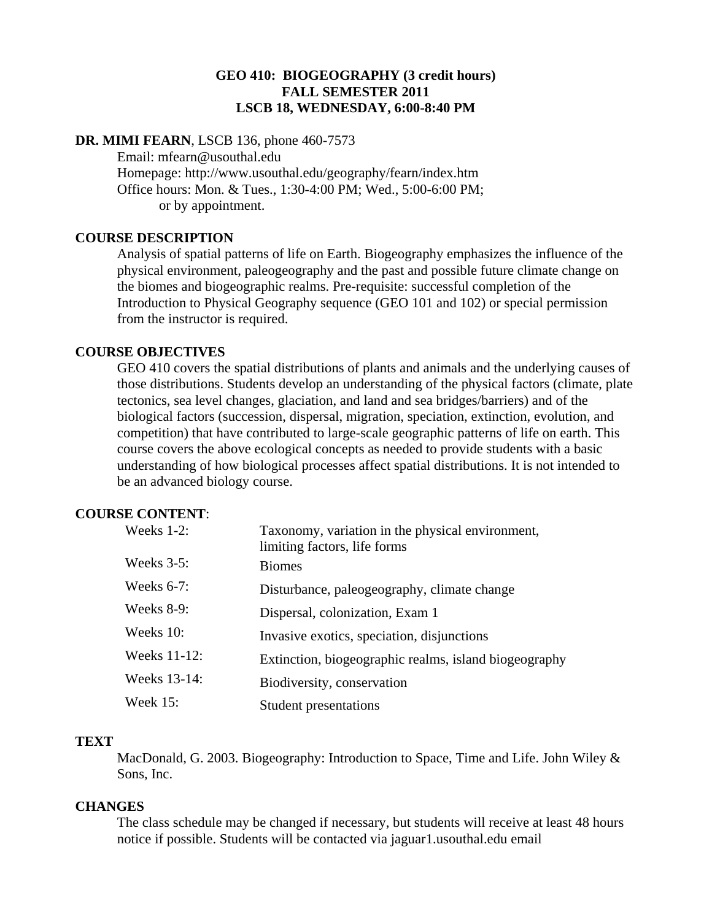# **GEO 410: BIOGEOGRAPHY (3 credit hours) FALL SEMESTER 2011 LSCB 18, WEDNESDAY, 6:00-8:40 PM**

# **DR. MIMI FEARN**, LSCB 136, phone 460-7573

 Email: mfearn@usouthal.edu Homepage: http://www.usouthal.edu/geography/fearn/index.htm Office hours: Mon. & Tues., 1:30-4:00 PM; Wed., 5:00-6:00 PM; or by appointment.

### **COURSE DESCRIPTION**

Analysis of spatial patterns of life on Earth. Biogeography emphasizes the influence of the physical environment, paleogeography and the past and possible future climate change on the biomes and biogeographic realms. Pre-requisite: successful completion of the Introduction to Physical Geography sequence (GEO 101 and 102) or special permission from the instructor is required.

### **COURSE OBJECTIVES**

GEO 410 covers the spatial distributions of plants and animals and the underlying causes of those distributions. Students develop an understanding of the physical factors (climate, plate tectonics, sea level changes, glaciation, and land and sea bridges/barriers) and of the biological factors (succession, dispersal, migration, speciation, extinction, evolution, and competition) that have contributed to large-scale geographic patterns of life on earth. This course covers the above ecological concepts as needed to provide students with a basic understanding of how biological processes affect spatial distributions. It is not intended to be an advanced biology course.

# **COURSE CONTENT**:

| Weeks 1-2:      | Taxonomy, variation in the physical environment,<br>limiting factors, life forms |
|-----------------|----------------------------------------------------------------------------------|
| Weeks $3-5$ :   | <b>Biomes</b>                                                                    |
| Weeks $6-7$ :   | Disturbance, paleogeography, climate change                                      |
| Weeks 8-9:      | Dispersal, colonization, Exam 1                                                  |
| Weeks 10:       | Invasive exotics, speciation, disjunctions                                       |
| Weeks 11-12:    | Extinction, biogeographic realms, island biogeography                            |
| Weeks 13-14:    | Biodiversity, conservation                                                       |
| <b>Week 15:</b> | Student presentations                                                            |

#### **TEXT**

MacDonald, G. 2003. Biogeography: Introduction to Space, Time and Life. John Wiley & Sons, Inc.

### **CHANGES**

The class schedule may be changed if necessary, but students will receive at least 48 hours notice if possible. Students will be contacted via jaguar1.usouthal.edu email